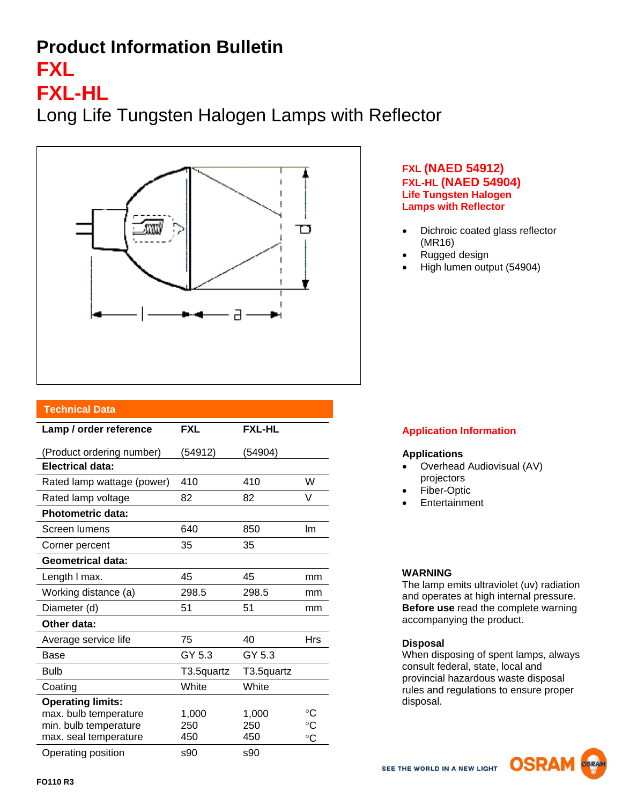## **Product Information Bulletin**

# **FXL**

## **FXL-HL**

Long Life Tungsten Halogen Lamps with Reflector



#### **FXL (NAED 54912) FXL-HL (NAED 54904) Life Tungsten Halogen Lamps with Reflector**

- Dichroic coated glass reflector (MR16)
- Rugged design
- High lumen output (54904)

| <b>Technical Data</b>      |            |               |                 |
|----------------------------|------------|---------------|-----------------|
| Lamp / order reference     | <b>FXL</b> | <b>FXL-HL</b> |                 |
| (Product ordering number)  | (54912)    | (54904)       |                 |
| Electrical data:           |            |               |                 |
| Rated lamp wattage (power) | 410        | 410           | W               |
| Rated lamp voltage         | 82         | 82            | V               |
| <b>Photometric data:</b>   |            |               |                 |
| Screen lumens              | 640        | 850           | Im              |
| Corner percent             | 35         | 35            |                 |
| <b>Geometrical data:</b>   |            |               |                 |
| Length I max.              | 45         | 45            | mm              |
| Working distance (a)       | 298.5      | 298.5         | mm              |
| Diameter (d)               | 51         | 51            | mm              |
| Other data:                |            |               |                 |
| Average service life       | 75         | 40            | Hrs             |
| Base                       | GY 5.3     | GY 5.3        |                 |
| <b>Bulb</b>                | T3.5quartz | T3.5quartz    |                 |
| Coating                    | White      | White         |                 |
| <b>Operating limits:</b>   |            |               |                 |
| max. bulb temperature      | 1,000      | 1,000         | °C              |
| min. bulb temperature      | 250        | 250           | $^{\circ}C$     |
| max. seal temperature      | 450        | 450           | $\rm ^{\circ}C$ |
| Operating position         | s90        | \$90          |                 |

### **Application Information**

#### **Applications**

- Overhead Audiovisual (AV) projectors
- Fiber-Optic
- **Entertainment**

#### **WARNING**

The lamp emits ultraviolet (uv) radiation and operates at high internal pressure. **Before use** read the complete warning accompanying the product.

#### **Disposal**

When disposing of spent lamps, always consult federal, state, local and provincial hazardous waste disposal rules and regulations to ensure proper disposal.